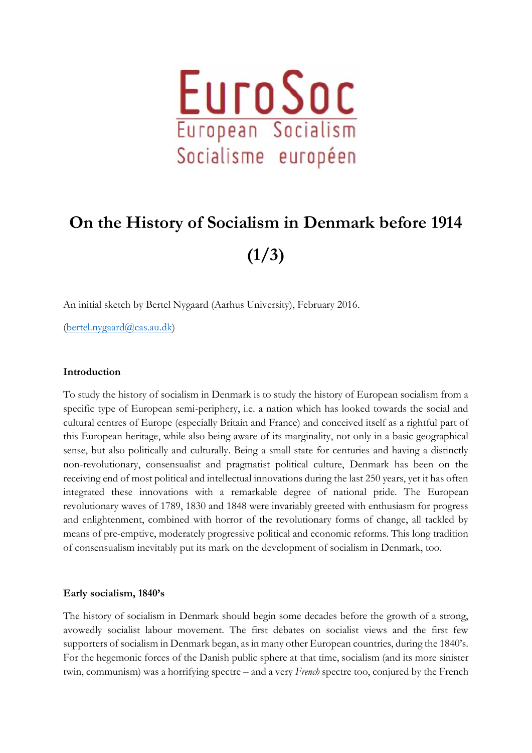

## **On the History of Socialism in Denmark before 1914 (1/3)**

An initial sketch by Bertel Nygaard (Aarhus University), February 2016.

[\(bertel.nygaard@cas.au.dk\)](mailto:bertel.nygaard@cas.au.dk)

## **Introduction**

To study the history of socialism in Denmark is to study the history of European socialism from a specific type of European semi-periphery, i.e. a nation which has looked towards the social and cultural centres of Europe (especially Britain and France) and conceived itself as a rightful part of this European heritage, while also being aware of its marginality, not only in a basic geographical sense, but also politically and culturally. Being a small state for centuries and having a distinctly non-revolutionary, consensualist and pragmatist political culture, Denmark has been on the receiving end of most political and intellectual innovations during the last 250 years, yet it has often integrated these innovations with a remarkable degree of national pride. The European revolutionary waves of 1789, 1830 and 1848 were invariably greeted with enthusiasm for progress and enlightenment, combined with horror of the revolutionary forms of change, all tackled by means of pre-emptive, moderately progressive political and economic reforms. This long tradition of consensualism inevitably put its mark on the development of socialism in Denmark, too.

## **Early socialism, 1840's**

The history of socialism in Denmark should begin some decades before the growth of a strong, avowedly socialist labour movement. The first debates on socialist views and the first few supporters of socialism in Denmark began, as in many other European countries, during the 1840's. For the hegemonic forces of the Danish public sphere at that time, socialism (and its more sinister twin, communism) was a horrifying spectre – and a very *French* spectre too, conjured by the French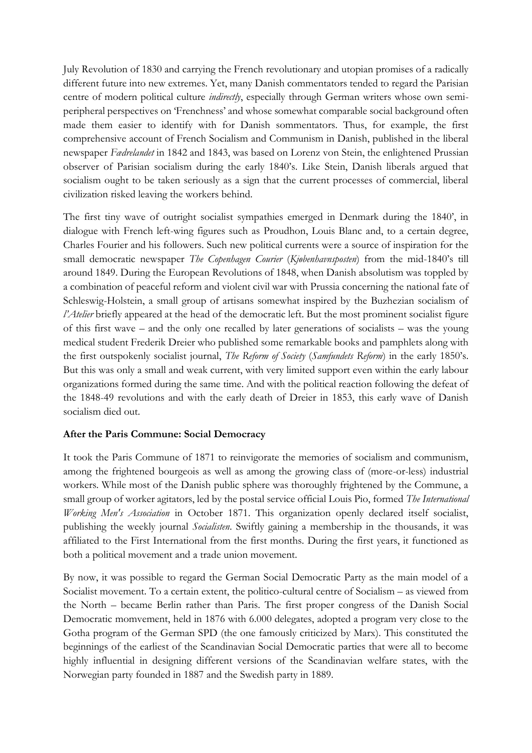July Revolution of 1830 and carrying the French revolutionary and utopian promises of a radically different future into new extremes. Yet, many Danish commentators tended to regard the Parisian centre of modern political culture *indirectly*, especially through German writers whose own semiperipheral perspectives on 'Frenchness' and whose somewhat comparable social background often made them easier to identify with for Danish sommentators. Thus, for example, the first comprehensive account of French Socialism and Communism in Danish, published in the liberal newspaper *Fædrelandet* in 1842 and 1843, was based on Lorenz von Stein, the enlightened Prussian observer of Parisian socialism during the early 1840's. Like Stein, Danish liberals argued that socialism ought to be taken seriously as a sign that the current processes of commercial, liberal civilization risked leaving the workers behind.

The first tiny wave of outright socialist sympathies emerged in Denmark during the 1840', in dialogue with French left-wing figures such as Proudhon, Louis Blanc and, to a certain degree, Charles Fourier and his followers. Such new political currents were a source of inspiration for the small democratic newspaper *The Copenhagen Courier* (*Kjøbenhavnsposten*) from the mid-1840's till around 1849. During the European Revolutions of 1848, when Danish absolutism was toppled by a combination of peaceful reform and violent civil war with Prussia concerning the national fate of Schleswig-Holstein, a small group of artisans somewhat inspired by the Buzhezian socialism of *l'Atelier* briefly appeared at the head of the democratic left. But the most prominent socialist figure of this first wave – and the only one recalled by later generations of socialists – was the young medical student Frederik Dreier who published some remarkable books and pamphlets along with the first outspokenly socialist journal, *The Reform of Society* (*Samfundets Reform*) in the early 1850's. But this was only a small and weak current, with very limited support even within the early labour organizations formed during the same time. And with the political reaction following the defeat of the 1848-49 revolutions and with the early death of Dreier in 1853, this early wave of Danish socialism died out.

## **After the Paris Commune: Social Democracy**

It took the Paris Commune of 1871 to reinvigorate the memories of socialism and communism, among the frightened bourgeois as well as among the growing class of (more-or-less) industrial workers. While most of the Danish public sphere was thoroughly frightened by the Commune, a small group of worker agitators, led by the postal service official Louis Pio, formed *The International Working Men's Association* in October 1871. This organization openly declared itself socialist, publishing the weekly journal *Socialisten*. Swiftly gaining a membership in the thousands, it was affiliated to the First International from the first months. During the first years, it functioned as both a political movement and a trade union movement.

By now, it was possible to regard the German Social Democratic Party as the main model of a Socialist movement. To a certain extent, the politico-cultural centre of Socialism – as viewed from the North – became Berlin rather than Paris. The first proper congress of the Danish Social Democratic momvement, held in 1876 with 6.000 delegates, adopted a program very close to the Gotha program of the German SPD (the one famously criticized by Marx). This constituted the beginnings of the earliest of the Scandinavian Social Democratic parties that were all to become highly influential in designing different versions of the Scandinavian welfare states, with the Norwegian party founded in 1887 and the Swedish party in 1889.